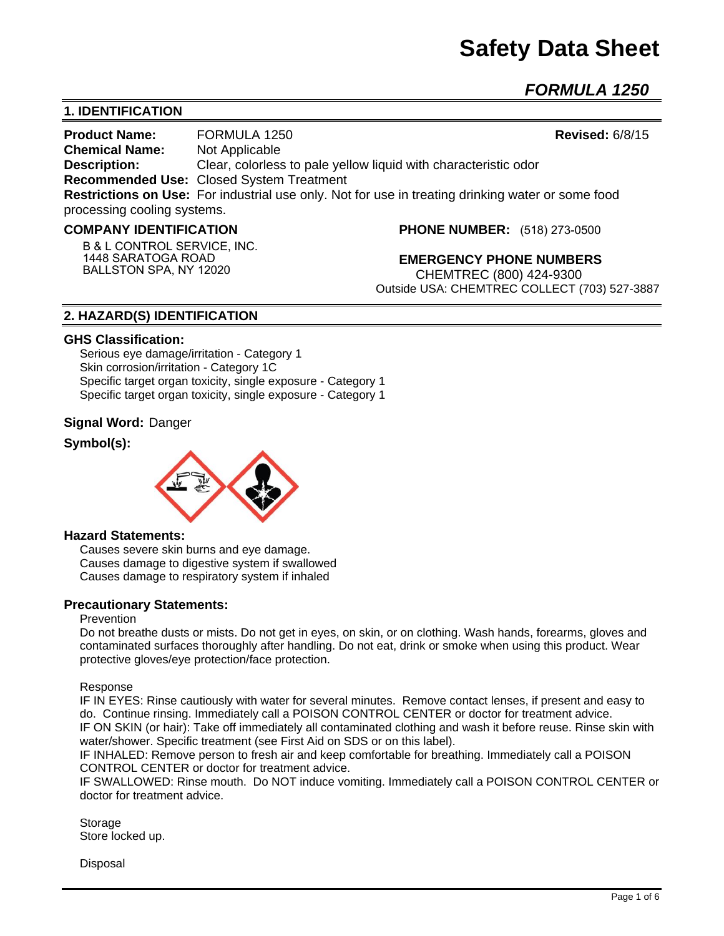# **Safety Data Sheet**

*FORMULA 1250* 

# **1. IDENTIFICATION**

**Product Name:** FORMULA 1250 **Revised:** 6/8/15 **Chemical Name:** Not Applicable **Description:** Clear, colorless to pale yellow liquid with characteristic odor **Recommended Use:** Closed System Treatment **Restrictions on Use:** For industrial use only. Not for use in treating drinking water or some food processing cooling systems.

#### **COMPANY IDENTIFICATION**

**B & L CONTROL SERVICE, INC. 1448 SARATOGA ROAD BALLSTON SPA, NY 12020**

**PHONE NUMBER:** (518) 273-0500

**EMERGENCY PHONE NUMBERS** CHEMTREC (800) 424-9300 Outside USA: CHEMTREC COLLECT (703) 527-3887

# **2. HAZARD(S) IDENTIFICATION**

#### **GHS Classification:**

Serious eye damage/irritation - Category 1 Skin corrosion/irritation - Category 1C Specific target organ toxicity, single exposure - Category 1 Specific target organ toxicity, single exposure - Category 1

#### **Signal Word:** Danger

# **Symbol(s):**



#### **Hazard Statements:**

Causes severe skin burns and eye damage. Causes damage to digestive system if swallowed Causes damage to respiratory system if inhaled

#### **Precautionary Statements:**

#### Prevention

Do not breathe dusts or mists. Do not get in eyes, on skin, or on clothing. Wash hands, forearms, gloves and contaminated surfaces thoroughly after handling. Do not eat, drink or smoke when using this product. Wear protective gloves/eye protection/face protection.

Response

IF IN EYES: Rinse cautiously with water for several minutes. Remove contact lenses, if present and easy to do. Continue rinsing. Immediately call a POISON CONTROL CENTER or doctor for treatment advice. IF ON SKIN (or hair): Take off immediately all contaminated clothing and wash it before reuse. Rinse skin with water/shower. Specific treatment (see First Aid on SDS or on this label).

IF INHALED: Remove person to fresh air and keep comfortable for breathing. Immediately call a POISON CONTROL CENTER or doctor for treatment advice.

IF SWALLOWED: Rinse mouth. Do NOT induce vomiting. Immediately call a POISON CONTROL CENTER or doctor for treatment advice.

Storage Store locked up.

Disposal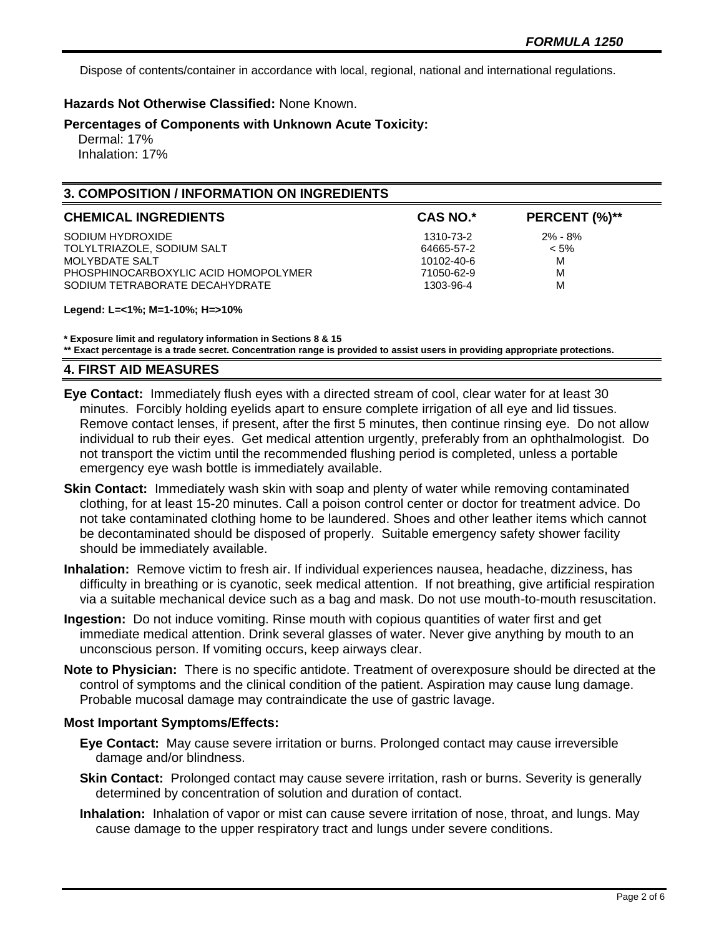Dispose of contents/container in accordance with local, regional, national and international regulations.

# **Hazards Not Otherwise Classified:** None Known.

## **Percentages of Components with Unknown Acute Toxicity:**

 Dermal: 17% Inhalation: 17%

# **3. COMPOSITION / INFORMATION ON INGREDIENTS**

| <b>CHEMICAL INGREDIENTS</b>          | <b>CAS NO.*</b> | PERCENT (%)** |
|--------------------------------------|-----------------|---------------|
| SODIUM HYDROXIDE                     | 1310-73-2       | $2\% - 8\%$   |
| TOLYLTRIAZOLE, SODIUM SALT           | 64665-57-2      | $< 5\%$       |
| MOLYBDATE SALT                       | 10102-40-6      | м             |
| PHOSPHINOCARBOXYLIC ACID HOMOPOLYMER | 71050-62-9      | M             |
| SODIUM TETRABORATE DECAHYDRATE       | 1303-96-4       | м             |

#### **Legend: L=<1%; M=1-10%; H=>10%**

**\* Exposure limit and regulatory information in Sections 8 & 15**

**\*\* Exact percentage is a trade secret. Concentration range is provided to assist users in providing appropriate protections.**

# **4. FIRST AID MEASURES**

- **Eye Contact:** Immediately flush eyes with a directed stream of cool, clear water for at least 30 minutes. Forcibly holding eyelids apart to ensure complete irrigation of all eye and lid tissues. Remove contact lenses, if present, after the first 5 minutes, then continue rinsing eye. Do not allow individual to rub their eyes. Get medical attention urgently, preferably from an ophthalmologist. Do not transport the victim until the recommended flushing period is completed, unless a portable emergency eye wash bottle is immediately available.
- **Skin Contact:** Immediately wash skin with soap and plenty of water while removing contaminated clothing, for at least 15-20 minutes. Call a poison control center or doctor for treatment advice. Do not take contaminated clothing home to be laundered. Shoes and other leather items which cannot be decontaminated should be disposed of properly. Suitable emergency safety shower facility should be immediately available.
- **Inhalation:** Remove victim to fresh air. If individual experiences nausea, headache, dizziness, has difficulty in breathing or is cyanotic, seek medical attention. If not breathing, give artificial respiration via a suitable mechanical device such as a bag and mask. Do not use mouth-to-mouth resuscitation.
- **Ingestion:** Do not induce vomiting. Rinse mouth with copious quantities of water first and get immediate medical attention. Drink several glasses of water. Never give anything by mouth to an unconscious person. If vomiting occurs, keep airways clear.
- **Note to Physician:** There is no specific antidote. Treatment of overexposure should be directed at the control of symptoms and the clinical condition of the patient. Aspiration may cause lung damage. Probable mucosal damage may contraindicate the use of gastric lavage.

#### **Most Important Symptoms/Effects:**

- **Eye Contact:** May cause severe irritation or burns. Prolonged contact may cause irreversible damage and/or blindness.
- **Skin Contact:** Prolonged contact may cause severe irritation, rash or burns. Severity is generally determined by concentration of solution and duration of contact.
- **Inhalation:** Inhalation of vapor or mist can cause severe irritation of nose, throat, and lungs. May cause damage to the upper respiratory tract and lungs under severe conditions.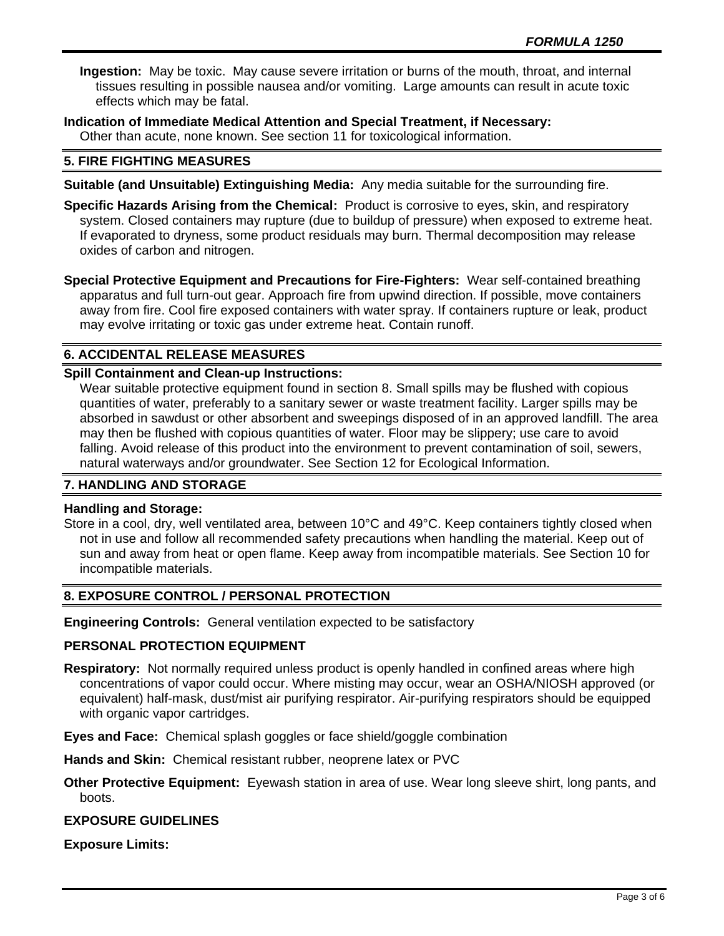**Ingestion:** May be toxic. May cause severe irritation or burns of the mouth, throat, and internal tissues resulting in possible nausea and/or vomiting. Large amounts can result in acute toxic effects which may be fatal.

**Indication of Immediate Medical Attention and Special Treatment, if Necessary:** Other than acute, none known. See section 11 for toxicological information.

# **5. FIRE FIGHTING MEASURES**

- **Suitable (and Unsuitable) Extinguishing Media:** Any media suitable for the surrounding fire.
- **Specific Hazards Arising from the Chemical:** Product is corrosive to eyes, skin, and respiratory system. Closed containers may rupture (due to buildup of pressure) when exposed to extreme heat. If evaporated to dryness, some product residuals may burn. Thermal decomposition may release oxides of carbon and nitrogen.

**Special Protective Equipment and Precautions for Fire-Fighters:** Wear self-contained breathing apparatus and full turn-out gear. Approach fire from upwind direction. If possible, move containers away from fire. Cool fire exposed containers with water spray. If containers rupture or leak, product may evolve irritating or toxic gas under extreme heat. Contain runoff.

# **6. ACCIDENTAL RELEASE MEASURES**

# **Spill Containment and Clean-up Instructions:**

Wear suitable protective equipment found in section 8. Small spills may be flushed with copious quantities of water, preferably to a sanitary sewer or waste treatment facility. Larger spills may be absorbed in sawdust or other absorbent and sweepings disposed of in an approved landfill. The area may then be flushed with copious quantities of water. Floor may be slippery; use care to avoid falling. Avoid release of this product into the environment to prevent contamination of soil, sewers, natural waterways and/or groundwater. See Section 12 for Ecological Information.

# **7. HANDLING AND STORAGE**

#### **Handling and Storage:**

Store in a cool, dry, well ventilated area, between 10°C and 49°C. Keep containers tightly closed when not in use and follow all recommended safety precautions when handling the material. Keep out of sun and away from heat or open flame. Keep away from incompatible materials. See Section 10 for incompatible materials.

#### **8. EXPOSURE CONTROL / PERSONAL PROTECTION**

**Engineering Controls:** General ventilation expected to be satisfactory

#### **PERSONAL PROTECTION EQUIPMENT**

**Respiratory:** Not normally required unless product is openly handled in confined areas where high concentrations of vapor could occur. Where misting may occur, wear an OSHA/NIOSH approved (or equivalent) half-mask, dust/mist air purifying respirator. Air-purifying respirators should be equipped with organic vapor cartridges.

**Eyes and Face:** Chemical splash goggles or face shield/goggle combination

**Hands and Skin:** Chemical resistant rubber, neoprene latex or PVC

**Other Protective Equipment:** Eyewash station in area of use. Wear long sleeve shirt, long pants, and boots.

#### **EXPOSURE GUIDELINES**

**Exposure Limits:**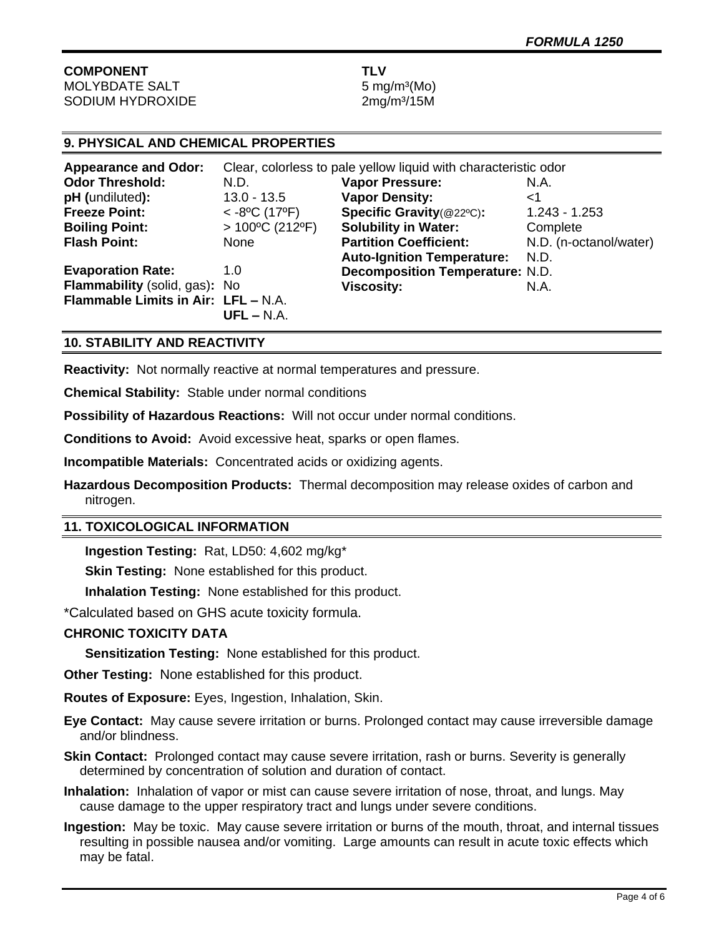# **COMPONENT TLV** MOLYBDATE SALT 5 mg/m<sup>3</sup>(Mo)

SODIUM HYDROXIDE 2mg/m<sup>3</sup>/15M

# **9. PHYSICAL AND CHEMICAL PROPERTIES**

| <b>Appearance and Odor:</b>         | Clear, colorless to pale yellow liquid with characteristic odor |                                        |                        |
|-------------------------------------|-----------------------------------------------------------------|----------------------------------------|------------------------|
| <b>Odor Threshold:</b>              | N.D.                                                            | <b>Vapor Pressure:</b>                 | N.A.                   |
| pH (undiluted):                     | $13.0 - 13.5$                                                   | <b>Vapor Density:</b>                  | ا>                     |
| <b>Freeze Point:</b>                | $<$ -8°C (17°F)                                                 | Specific Gravity(@22°C):               | $1.243 - 1.253$        |
| <b>Boiling Point:</b>               | $>100^{\circ}$ C (212°F)                                        | <b>Solubility in Water:</b>            | Complete               |
| <b>Flash Point:</b>                 | None                                                            | <b>Partition Coefficient:</b>          | N.D. (n-octanol/water) |
|                                     |                                                                 | <b>Auto-Ignition Temperature:</b>      | N.D.                   |
| <b>Evaporation Rate:</b>            | 1.0                                                             | <b>Decomposition Temperature: N.D.</b> |                        |
| Flammability (solid, gas): No       |                                                                 | <b>Viscosity:</b>                      | N.A.                   |
| Flammable Limits in Air: LFL - N.A. | $UFL - N.A.$                                                    |                                        |                        |
|                                     |                                                                 |                                        |                        |

# **10. STABILITY AND REACTIVITY**

**Reactivity:** Not normally reactive at normal temperatures and pressure.

**Chemical Stability:** Stable under normal conditions

**Possibility of Hazardous Reactions:** Will not occur under normal conditions.

**Conditions to Avoid:** Avoid excessive heat, sparks or open flames.

**Incompatible Materials:** Concentrated acids or oxidizing agents.

**Hazardous Decomposition Products:** Thermal decomposition may release oxides of carbon and nitrogen.

# **11. TOXICOLOGICAL INFORMATION**

**Ingestion Testing:** Rat, LD50: 4,602 mg/kg\*

**Skin Testing:** None established for this product.

**Inhalation Testing:** None established for this product.

\*Calculated based on GHS acute toxicity formula.

# **CHRONIC TOXICITY DATA**

**Sensitization Testing:** None established for this product.

**Other Testing:** None established for this product.

**Routes of Exposure:** Eyes, Ingestion, Inhalation, Skin.

**Eye Contact:** May cause severe irritation or burns. Prolonged contact may cause irreversible damage and/or blindness.

**Skin Contact:** Prolonged contact may cause severe irritation, rash or burns. Severity is generally determined by concentration of solution and duration of contact.

**Inhalation:** Inhalation of vapor or mist can cause severe irritation of nose, throat, and lungs. May cause damage to the upper respiratory tract and lungs under severe conditions.

**Ingestion:** May be toxic. May cause severe irritation or burns of the mouth, throat, and internal tissues resulting in possible nausea and/or vomiting. Large amounts can result in acute toxic effects which may be fatal.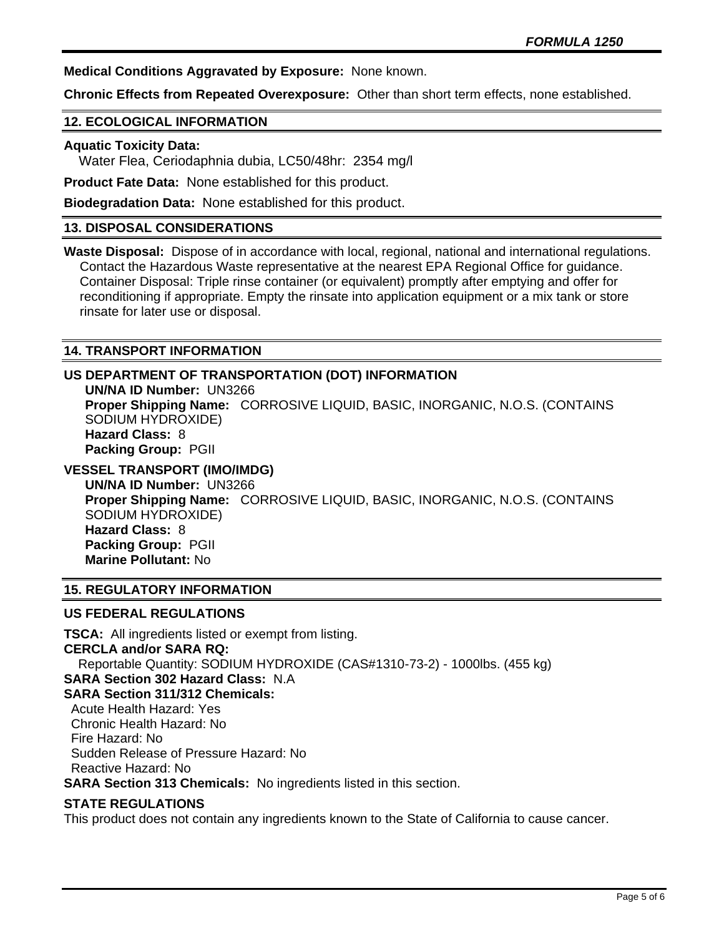**Medical Conditions Aggravated by Exposure:** None known.

**Chronic Effects from Repeated Overexposure:** Other than short term effects, none established.

### **12. ECOLOGICAL INFORMATION**

#### **Aquatic Toxicity Data:**

Water Flea, Ceriodaphnia dubia, LC50/48hr: 2354 mg/l

**Product Fate Data:** None established for this product.

**Biodegradation Data:** None established for this product.

## **13. DISPOSAL CONSIDERATIONS**

**Waste Disposal:** Dispose of in accordance with local, regional, national and international regulations. Contact the Hazardous Waste representative at the nearest EPA Regional Office for guidance. Container Disposal: Triple rinse container (or equivalent) promptly after emptying and offer for reconditioning if appropriate. Empty the rinsate into application equipment or a mix tank or store rinsate for later use or disposal.

# **14. TRANSPORT INFORMATION**

# **US DEPARTMENT OF TRANSPORTATION (DOT) INFORMATION**

**UN/NA ID Number:** UN3266 **Proper Shipping Name:** CORROSIVE LIQUID, BASIC, INORGANIC, N.O.S. (CONTAINS SODIUM HYDROXIDE) **Hazard Class:** 8 **Packing Group:** PGII

# **VESSEL TRANSPORT (IMO/IMDG)**

**UN/NA ID Number:** UN3266 **Proper Shipping Name:** CORROSIVE LIQUID, BASIC, INORGANIC, N.O.S. (CONTAINS SODIUM HYDROXIDE) **Hazard Class:** 8 **Packing Group:** PGII **Marine Pollutant:** No

# **15. REGULATORY INFORMATION**

## **US FEDERAL REGULATIONS**

**TSCA:** All ingredients listed or exempt from listing. **CERCLA and/or SARA RQ:**  Reportable Quantity: SODIUM HYDROXIDE (CAS#1310-73-2) - 1000lbs. (455 kg) **SARA Section 302 Hazard Class:** N.A **SARA Section 311/312 Chemicals:**  Acute Health Hazard: Yes Chronic Health Hazard: No Fire Hazard: No Sudden Release of Pressure Hazard: No Reactive Hazard: No **SARA Section 313 Chemicals:** No ingredients listed in this section.

# **STATE REGULATIONS**

This product does not contain any ingredients known to the State of California to cause cancer.